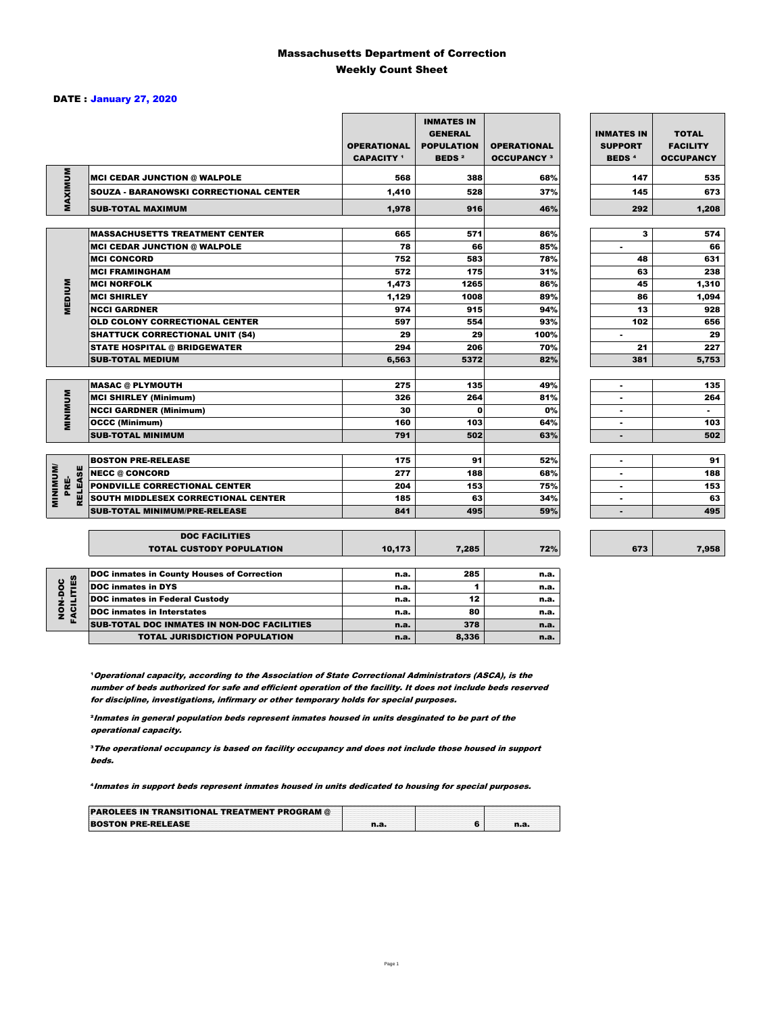#### Massachusetts Department of Correction Weekly Count Sheet

#### DATE : January 27, 2020

|                                    |                                                   | <b>OPERATIONAL</b><br><b>CAPACITY</b> 1 | <b>INMATES IN</b><br><b>GENERAL</b><br><b>POPULATION</b><br><b>BEDS<sup>2</sup></b> | <b>OPERATIONAL</b><br><b>OCCUPANCY 3</b> | <b>INMATES IN</b><br><b>SUPPORT</b><br><b>BEDS<sup>4</sup></b> | <b>TOTAL</b><br><b>FACILITY</b><br><b>OCCUPANCY</b> |
|------------------------------------|---------------------------------------------------|-----------------------------------------|-------------------------------------------------------------------------------------|------------------------------------------|----------------------------------------------------------------|-----------------------------------------------------|
| MAXIMUM                            | <b>MCI CEDAR JUNCTION @ WALPOLE</b>               | 568                                     | 388                                                                                 | 68%                                      | 147                                                            | 535                                                 |
|                                    | <b>SOUZA - BARANOWSKI CORRECTIONAL CENTER</b>     | 1,410                                   | 528                                                                                 | 37%                                      | 145                                                            | 673                                                 |
|                                    | <b>SUB-TOTAL MAXIMUM</b>                          | 1,978                                   | 916                                                                                 | 46%                                      | 292                                                            | 1,208                                               |
|                                    |                                                   |                                         |                                                                                     |                                          |                                                                |                                                     |
|                                    | <b>MASSACHUSETTS TREATMENT CENTER</b>             | 665                                     | 571                                                                                 | 86%                                      | 3                                                              | 574                                                 |
|                                    | <b>MCI CEDAR JUNCTION @ WALPOLE</b>               | 78                                      | 66                                                                                  | 85%                                      | $\bullet$                                                      | 66                                                  |
|                                    | <b>MCI CONCORD</b>                                | 752                                     | 583                                                                                 | 78%                                      | 48                                                             | 631                                                 |
|                                    | <b>MCI FRAMINGHAM</b>                             | 572                                     | 175                                                                                 | 31%                                      | 63                                                             | 238                                                 |
| <b>MEDIUM</b>                      | <b>MCI NORFOLK</b>                                | 1,473                                   | 1265                                                                                | 86%                                      | 45                                                             | 1,310                                               |
|                                    | <b>MCI SHIRLEY</b>                                | 1,129                                   | 1008                                                                                | 89%                                      | 86                                                             | 1,094                                               |
|                                    | <b>NCCI GARDNER</b>                               | 974                                     | 915                                                                                 | 94%                                      | 13                                                             | 928                                                 |
|                                    | <b>OLD COLONY CORRECTIONAL CENTER</b>             | 597                                     | 554                                                                                 | 93%                                      | 102                                                            | 656                                                 |
|                                    | <b>SHATTUCK CORRECTIONAL UNIT (S4)</b>            | 29                                      | 29                                                                                  | 100%                                     | $\sim$                                                         | 29                                                  |
|                                    | <b>STATE HOSPITAL @ BRIDGEWATER</b>               | 294                                     | 206                                                                                 | 70%                                      | 21                                                             | 227                                                 |
|                                    | <b>SUB-TOTAL MEDIUM</b>                           | 6,563                                   | 5372                                                                                | 82%                                      | 381                                                            | 5,753                                               |
|                                    |                                                   |                                         |                                                                                     |                                          |                                                                |                                                     |
|                                    | <b>MASAC @ PLYMOUTH</b>                           | 275                                     | 135                                                                                 | 49%                                      | $\blacksquare$                                                 | 135                                                 |
| <b>MINIMIN</b>                     | <b>MCI SHIRLEY (Minimum)</b>                      | 326                                     | 264                                                                                 | 81%                                      |                                                                | 264                                                 |
|                                    | <b>NCCI GARDNER (Minimum)</b>                     | 30                                      | $\mathbf{0}$                                                                        | 0%                                       | $\blacksquare$                                                 | $\blacksquare$                                      |
|                                    | <b>OCCC (Minimum)</b>                             | 160                                     | 103                                                                                 | 64%                                      |                                                                | 103                                                 |
|                                    | <b>SUB-TOTAL MINIMUM</b>                          | 791                                     | 502                                                                                 | 63%                                      | $\overline{\phantom{a}}$                                       | 502                                                 |
|                                    |                                                   |                                         |                                                                                     |                                          |                                                                |                                                     |
|                                    | <b>BOSTON PRE-RELEASE</b>                         | 175                                     | 91                                                                                  | 52%                                      | $\blacksquare$                                                 | 91                                                  |
|                                    | <b>NECC @ CONCORD</b>                             | 277                                     | 188                                                                                 | 68%                                      | $\blacksquare$                                                 | 188                                                 |
| <b>MINIMUM/</b><br>RELEASE<br>PRE- | <b>PONDVILLE CORRECTIONAL CENTER</b>              | 204                                     | 153                                                                                 | 75%                                      | $\sim$                                                         | 153                                                 |
|                                    | <b>SOUTH MIDDLESEX CORRECTIONAL CENTER</b>        | 185                                     | 63                                                                                  | 34%                                      |                                                                | 63                                                  |
|                                    | <b>SUB-TOTAL MINIMUM/PRE-RELEASE</b>              | 841                                     | 495                                                                                 | 59%                                      | $\sim$                                                         | 495                                                 |
|                                    | <b>DOC FACILITIES</b>                             |                                         |                                                                                     |                                          |                                                                |                                                     |
|                                    | <b>TOTAL CUSTODY POPULATION</b>                   | 10,173                                  | 7,285                                                                               | 72%                                      | 673                                                            | 7,958                                               |
|                                    |                                                   |                                         |                                                                                     |                                          |                                                                |                                                     |
|                                    | <b>DOC inmates in County Houses of Correction</b> | n.a.                                    | 285                                                                                 | n.a.                                     |                                                                |                                                     |
|                                    | <b>DOC</b> inmates in DYS                         | n.a.                                    | 1                                                                                   | n.a.                                     |                                                                |                                                     |
| FACILITIES<br>NON-DOC              | <b>DOC inmates in Federal Custody</b>             | n.a.                                    | 12                                                                                  | n.a.                                     |                                                                |                                                     |
|                                    | <b>DOC</b> inmates in Interstates                 | n.a.                                    | 80                                                                                  | n.a.                                     |                                                                |                                                     |
|                                    | SUB-TOTAL DOC INMATES IN NON-DOC FACILITIES       | n.a.                                    | 378                                                                                 | n.a.                                     |                                                                |                                                     |

<sup>1</sup> Operational capacity, according to the Association of State Correctional Administrators (ASCA), is the number of beds authorized for safe and efficient operation of the facility. It does not include beds reserved for discipline, investigations, infirmary or other temporary holds for special purposes.

TOTAL JURISDICTION POPULATION **n.a.** 8,336 n.a.

²Inmates in general population beds represent inmates housed in units desginated to be part of the operational capacity.

³The operational occupancy is based on facility occupancy and does not include those housed in support beds.

⁴Inmates in support beds represent inmates housed in units dedicated to housing for special purposes.

| <b>PAROLEES IN TRANSITIONAL TREATMENT PROGRAM @</b> |  |  |
|-----------------------------------------------------|--|--|
| <b>BOSTON PRE-RELEASE</b>                           |  |  |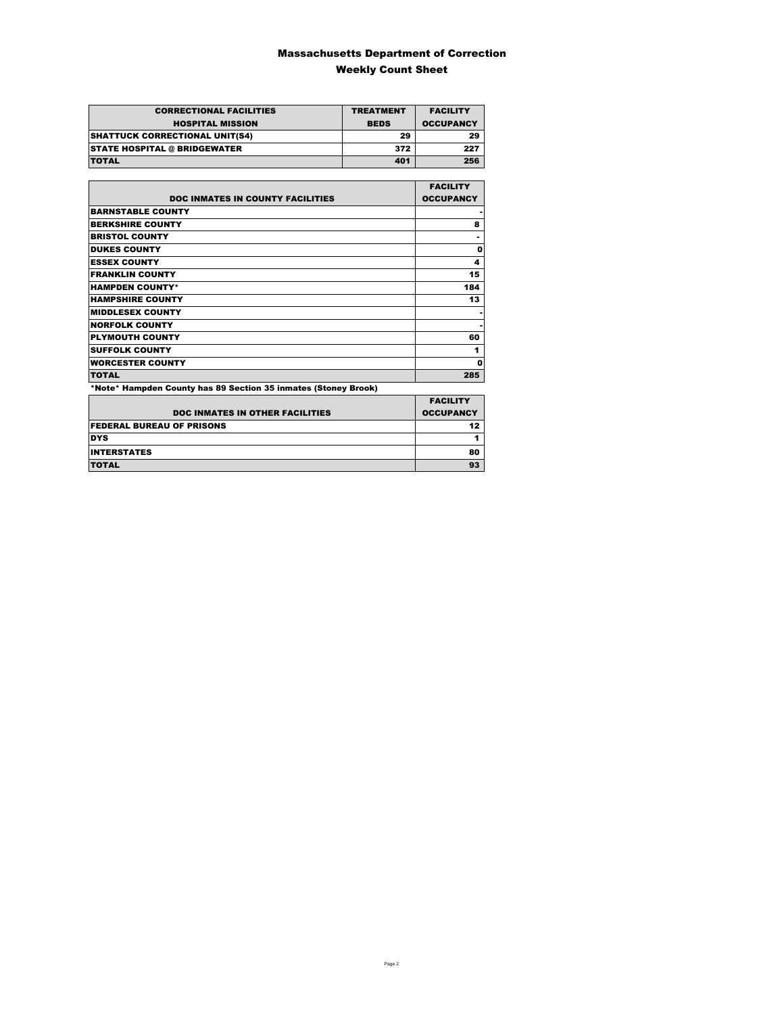### Massachusetts Department of Correction Weekly Count Sheet

| <b>CORRECTIONAL FACILITIES</b>        | <b>TREATMENT</b> | <b>FACILITY</b>  |
|---------------------------------------|------------------|------------------|
| <b>HOSPITAL MISSION</b>               | <b>BEDS</b>      | <b>OCCUPANCY</b> |
| <b>SHATTUCK CORRECTIONAL UNIT(S4)</b> | 29               | 29               |
| <b>STATE HOSPITAL @ BRIDGEWATER</b>   | 372              | 227              |
| <b>TOTAL</b>                          | 401              | 256              |

|                                                                | <b>FACILITY</b>  |
|----------------------------------------------------------------|------------------|
| <b>DOC INMATES IN COUNTY FACILITIES</b>                        | <b>OCCUPANCY</b> |
| <b>BARNSTABLE COUNTY</b>                                       |                  |
| <b>BERKSHIRE COUNTY</b>                                        | 8                |
| <b>BRISTOL COUNTY</b>                                          |                  |
| <b>DUKES COUNTY</b>                                            | 0                |
| <b>ESSEX COUNTY</b>                                            | 4                |
| <b>FRANKLIN COUNTY</b>                                         | 15               |
| <b>HAMPDEN COUNTY*</b>                                         | 184              |
| <b>HAMPSHIRE COUNTY</b>                                        | 13               |
| <b>MIDDLESEX COUNTY</b>                                        |                  |
| <b>NORFOLK COUNTY</b>                                          |                  |
| <b>PLYMOUTH COUNTY</b>                                         | 60               |
| <b>SUFFOLK COUNTY</b>                                          | 1                |
| <b>WORCESTER COUNTY</b>                                        | 0                |
| <b>TOTAL</b>                                                   | 285              |
| *Note* Hampden County has 89 Section 35 inmates (Stoney Brook) |                  |

|                                        | <b>FACILITY</b>  |
|----------------------------------------|------------------|
| <b>DOC INMATES IN OTHER FACILITIES</b> | <b>OCCUPANCY</b> |
| <b>FEDERAL BUREAU OF PRISONS</b>       | 12               |
| <b>DYS</b>                             |                  |
| <b>INTERSTATES</b>                     | 80               |
| <b>TOTAL</b>                           | 93               |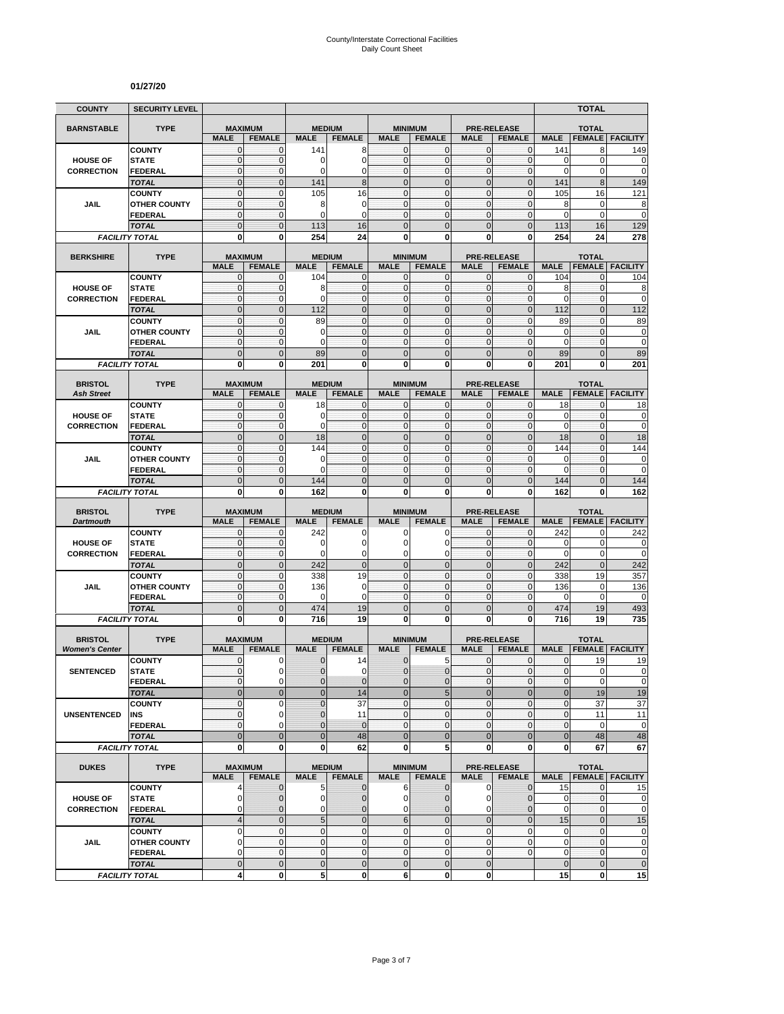#### **01/27/20**

|                       | <b>SECURITY LEVEL</b>                 |                               |                              |                          |                                |                                  |                                 |                              |                                     |                             | TOTAL                           |                                         |
|-----------------------|---------------------------------------|-------------------------------|------------------------------|--------------------------|--------------------------------|----------------------------------|---------------------------------|------------------------------|-------------------------------------|-----------------------------|---------------------------------|-----------------------------------------|
| <b>BARNSTABLE</b>     | <b>TYPE</b>                           | <b>MAXIMUM</b>                |                              | <b>MEDIUM</b>            |                                | <b>MINIMUM</b>                   |                                 |                              | <b>PRE-RELEASE</b>                  |                             | <b>TOTAL</b>                    |                                         |
|                       |                                       | <b>MALE</b>                   | <b>FEMALE</b>                | <b>MALE</b>              | <b>FEMALE</b>                  | <b>MALE</b>                      | <b>FEMALE</b>                   | <b>MALE</b>                  | <b>FEMALE</b>                       | <b>MALE</b>                 | <b>FEMALE</b>                   | <b>FACILITY</b>                         |
|                       | <b>COUNTY</b>                         | $\mathbf{0}$                  | $\mathbf 0$                  | 141                      | 8                              | $\overline{0}$                   | $\mathbf{0}$                    | $\mathbf{O}$                 | $\mathbf{0}$                        | 141                         | 8                               | 149                                     |
| <b>HOUSE OF</b>       | <b>STATE</b>                          | $\mathbf 0$                   | $\mathbf{0}$                 | 0                        | 0                              | $\overline{0}$                   | $\mathbf 0$                     | $\mathbf{0}$                 | $\mathbf 0$                         | $\mathbf 0$                 | $\mathbf 0$                     | 0                                       |
| <b>CORRECTION</b>     | FEDERAL                               | $\overline{0}$<br>$\mathbf 0$ | $\mathbf{0}$<br>$\mathbf{0}$ | 0                        | $\overline{0}$<br>8            | $\overline{0}$<br>$\mathbf{0}$   | $\overline{0}$<br>$\mathbf 0$   | $\mathbf{0}$<br>$\mathbf 0$  | $\mathbf 0$<br>$\mathbf 0$          | $\mathbf 0$<br>141          | $\mathbf 0$<br>$\boldsymbol{8}$ | $\mathbf 0$                             |
|                       | <b>TOTAL</b><br><b>COUNTY</b>         | 0                             | $\mathbf 0$                  | 141<br>105               | 16                             | $\mathbf{0}$                     | 0                               | $\mathbf 0$                  | $\mathbf 0$                         | 105                         | 16                              | 149<br>$\overline{121}$                 |
| <b>JAIL</b>           | <b>OTHER COUNTY</b>                   | $\mathbf 0$                   | $\mathbf 0$                  | 8                        | $\mathbf 0$                    | $\mathbf{O}$                     | $\mathbf 0$                     | $\mathbf{O}$                 | $\mathbf{0}$                        | 8                           | $\mathbf 0$                     | 8                                       |
|                       | <b>FEDERAL</b>                        | 0                             | $\mathbf 0$                  | 0                        | 0                              | $\mathbf{0}$                     | $\mathbf 0$                     | $\mathbf 0$                  | $\mathbf 0$                         | $\mathbf 0$                 | $\mathbf 0$                     | $\overline{0}$                          |
|                       | <b>TOTAL</b>                          | $\overline{0}$                | $\mathbf{0}$                 | 113                      | 16                             | $\mathbf{0}$                     | $\overline{0}$                  | $\mathbf{0}$                 | $\overline{0}$                      | 113                         | 16                              | 129                                     |
|                       | <b>FACILITY TOTAL</b>                 | $\bf{0}$                      | $\bf{0}$                     | 254                      | 24                             | $\mathbf{0}$                     | $\bf{0}$                        | 0                            | $\mathbf{0}$                        | 254                         | 24                              | 278                                     |
|                       |                                       |                               |                              |                          | <b>MEDIUM</b>                  |                                  |                                 |                              |                                     |                             |                                 |                                         |
| <b>BERKSHIRE</b>      | <b>TYPE</b>                           | <b>MAXIMUM</b><br><b>MALE</b> | <b>FEMALE</b>                | <b>MALE</b>              | <b>FEMALE</b>                  | <b>MALE</b>                      | <b>MINIMUM</b><br><b>FEMALE</b> | <b>MALE</b>                  | <b>PRE-RELEASE</b><br><b>FEMALE</b> | <b>MALE</b>                 | <b>TOTAL</b><br><b>FEMALE</b>   | <b>FACILITY</b>                         |
|                       | <b>COUNTY</b>                         | 0                             | 0                            | 104                      | 0                              | $\mathbf{0}$                     | $\mathbf 0$                     | $\mathbf{0}$                 | 0                                   | 104                         | 0                               | 104                                     |
| <b>HOUSE OF</b>       | <b>STATE</b>                          | $\mathbf 0$                   | $\mathbf 0$                  | 8                        | $\mathbf 0$                    | $\overline{0}$                   | $\mathbf 0$                     | $\mathbf{O}$                 | $\mathbf{0}$                        | 8                           | $\mathbf{0}$                    | 8                                       |
| <b>CORRECTION</b>     | <b>FEDERAL</b>                        | $\mathbf 0$                   | $\mathbf 0$                  | $\Omega$                 | $\mathbf{0}$                   | $\mathbf{O}$                     | $\mathbf 0$                     | $\mathbf{0}$                 | $\mathbf 0$                         | $\mathbf 0$                 | $\mathbf{0}$                    | $\mathbf 0$                             |
|                       | <b>TOTAL</b>                          | $\overline{0}$                | $\mathbf{0}$                 | 112                      | $\overline{0}$                 | $\overline{0}$                   | $\overline{0}$                  | $\mathbf{0}$                 | $\overline{0}$                      | 112                         | $\mathbf{0}$                    | $\overline{112}$                        |
|                       | <b>COUNTY</b>                         | $\overline{0}$                | $\mathbf{0}$                 | 89                       | $\overline{0}$                 | $\mathbf 0$                      | $\overline{0}$                  | $\mathbf{0}$                 | $\mathbf 0$                         | 89                          | $\mathbf{0}$                    | 89                                      |
| JAIL                  | <b>OTHER COUNTY</b><br><b>FEDERAL</b> | 0<br>$\mathbf 0$              | $\mathbf{0}$<br>$\mathbf 0$  | 0<br>$\Omega$            | $\mathbf 0$<br>$\mathbf 0$     | $\mathbf{0}$<br>$\mathbf 0$      | 0<br>$\mathbf 0$                | $\mathbf 0$<br>$\mathbf{0}$  | $\mathbf{0}$<br>$\mathbf{0}$        | 0<br>$\mathbf 0$            | $\mathbf 0$<br>$\mathbf{0}$     | 0<br>$\mathbf 0$                        |
|                       | <b>TOTAL</b>                          | $\mathbf 0$                   | $\mathbf{0}$                 | 89                       | $\mathbf 0$                    | $\mathbf 0$                      | $\overline{0}$                  | $\mathbf{0}$                 | $\pmb{0}$                           | 89                          | $\mathbf 0$                     | 89                                      |
|                       | <b>FACILITY TOTAL</b>                 | $\bf{0}$                      | $\bf{0}$                     | 201                      | $\bf{0}$                       | 0                                | $\bf{0}$                        | $\mathbf 0$                  | 0                                   | 201                         | 0                               | 201                                     |
|                       |                                       |                               |                              |                          |                                |                                  |                                 |                              |                                     |                             |                                 |                                         |
| <b>BRISTOL</b>        | <b>TYPE</b>                           | <b>MAXIMUM</b>                |                              |                          | <b>MEDIUM</b>                  | <b>MINIMUM</b>                   |                                 |                              | <b>PRE-RELEASE</b><br><b>FEMALE</b> |                             | <b>TOTAL</b>                    |                                         |
| <b>Ash Street</b>     | <b>COUNTY</b>                         | <b>MALE</b><br>$\mathbf{0}$   | <b>FEMALE</b><br>$\mathbf 0$ | <b>MALE</b><br>18        | <b>FEMALE</b><br>$\mathbf 0$   | <b>MALE</b><br>$\overline{0}$    | <b>FEMALE</b><br>$\mathbf{0}$   | <b>MALE</b><br>$\mathbf{0}$  | $\mathbf{0}$                        | <b>MALE</b><br>18           | <b>FEMALE</b><br>$\mathbf{0}$   | <b>FACILITY</b><br>18                   |
| <b>HOUSE OF</b>       | <b>STATE</b>                          | $\mathbf 0$                   | $\mathbf 0$                  | 0                        | $\mathbf 0$                    | $\overline{0}$                   | $\mathbf 0$                     | $\mathbf 0$                  | $\mathbf 0$                         | $\mathbf 0$                 | $\pmb{0}$                       | $\pmb{0}$                               |
| <b>CORRECTION</b>     | <b>FEDERAL</b>                        | $\mathbf 0$                   | $\mathbf{0}$                 | 0                        | $\mathbf 0$                    | $\overline{0}$                   | $\mathbf 0$                     | $\mathbf{0}$                 | $\mathbf 0$                         | $\mathbf 0$                 | $\mathbf 0$                     | $\mathbf 0$                             |
|                       | <b>TOTAL</b>                          | $\mathbf 0$                   | $\mathbf{0}$                 | 18                       | $\mathbf 0$                    | $\overline{0}$                   | $\mathbf 0$                     | $\mathbf 0$                  | $\mathbf 0$                         | 18                          | $\pmb{0}$                       | 18                                      |
|                       | <b>COUNTY</b>                         | $\mathbf 0$                   | $\mathbf{0}$                 | 144                      | $\mathbf 0$                    | $\overline{0}$                   | 0                               | $\mathbf{0}$                 | $\mathbf 0$                         | 144                         | $\mathbf{0}$                    | 144                                     |
| JAIL                  | <b>OTHER COUNTY</b>                   | $\mathbf 0$                   | $\mathbf{0}$                 | 0                        | $\mathbf 0$                    | $\mathbf 0$                      | $\mathbf 0$                     | $\mathbf{0}$                 | $\mathbf 0$                         | $\mathbf 0$                 | $\mathbf{0}$                    | 0                                       |
|                       | <b>FEDERAL</b>                        | $\mathbf 0$                   | $\mathbf 0$                  | 0                        | $\mathbf 0$                    | $\mathbf{0}$                     | 0                               | $\mathbf 0$                  | $\mathbf 0$                         | $\mathbf 0$                 | $\mathbf 0$                     | $\mathbf 0$                             |
|                       | <b>TOTAL</b>                          | $\overline{0}$<br>0           | $\mathbf{0}$                 | 144                      | $\overline{0}$<br>0            | $\Omega$                         | $\overline{0}$                  | $\Omega$                     | $\mathbf{0}$                        | 144                         | $\mathbf{0}$                    | 144<br>162                              |
|                       | <b>FACILITY TOTAL</b>                 |                               | 0                            | 162                      |                                | $\mathbf 0$                      | 0                               | 0                            | 0                                   | 162                         | 0                               |                                         |
|                       |                                       |                               |                              |                          |                                |                                  |                                 |                              |                                     |                             |                                 |                                         |
| <b>BRISTOL</b>        | <b>TYPE</b>                           | <b>MAXIMUM</b>                |                              | <b>MEDIUM</b>            |                                |                                  | <b>MINIMUM</b>                  |                              | <b>PRE-RELEASE</b>                  |                             | <b>TOTAL</b>                    |                                         |
| <b>Dartmouth</b>      |                                       | <b>MALE</b>                   | <b>FEMALE</b>                | <b>MALE</b>              | <b>FEMALE</b>                  | <b>MALE</b>                      | <b>FEMALE</b>                   | <b>MALE</b>                  | <b>FEMALE</b>                       | <b>MALE</b>                 | <b>FEMALE</b>                   | <b>FACILITY</b>                         |
|                       | <b>COUNTY</b>                         | 0                             | $^{\circ}$                   | 242                      | 0                              | 0                                | 0                               | $\mathbf 0$                  | $\mathbf 0$                         | 242                         | 0                               | 242                                     |
| <b>HOUSE OF</b>       | <b>STATE</b>                          | 0                             | $\mathbf{0}$                 | 0                        | 0                              | 0                                | 0                               | $\mathbf 0$                  | $\mathbf 0$                         | 0                           | $\mathbf 0$                     | 0                                       |
| <b>CORRECTION</b>     | <b>FEDERAL</b>                        | $\mathbf 0$                   | $\mathbf 0$                  | $\mathbf 0$              | 0                              | 0                                | 0                               | $\mathbf 0$                  | $\mathbf 0$                         | $\mathbf 0$                 | 0                               | $\mathbf 0$                             |
|                       | <b>TOTAL</b><br><b>COUNTY</b>         | $\overline{0}$<br>$\mathbf 0$ | $\mathbf{0}$<br>$\mathbf 0$  | 242<br>338               | $\overline{0}$<br>19           | $\mathbf{0}$<br>$\overline{0}$   | $\overline{0}$<br>$\mathbf 0$   | $\mathbf{0}$<br>$\mathbf 0$  | $\mathbf{0}$<br>$\mathbf 0$         | 242<br>338                  | $\mathbf{0}$<br>19              | 242<br>357                              |
| <b>JAIL</b>           | <b>OTHER COUNTY</b>                   | $\mathbf 0$                   | $\mathbf{0}$                 | 136                      | 0                              | $\Omega$                         | $\overline{0}$                  | $\mathbf{0}$                 | $\mathbf 0$                         | 136                         | $\mathbf 0$                     | 136                                     |
|                       | <b>FEDERAL</b>                        | $\mathbf 0$                   | $\mathbf{0}$                 | 0                        | 0                              | $\overline{0}$                   | $\mathbf 0$                     | $\mathbf{O}$                 | $\mathbf{0}$                        | $\mathbf 0$                 | $\mathbf 0$                     | 0                                       |
|                       | <b>TOTAL</b>                          | $\mathbf 0$                   | $\mathbf{0}$                 | 474                      | 19                             | $\mathbf{0}$                     | $\mathbf 0$                     | $\mathbf{0}$                 | $\mathbf 0$                         | 474                         | 19                              | 493                                     |
|                       | <b>FACILITY TOTAL</b>                 | 0                             | $\bf{0}$                     | 716                      | 19                             | $\mathbf{0}$                     | 0                               | 0                            | $\bf{0}$                            | 716                         | 19                              | 735                                     |
| <b>BRISTOL</b>        | <b>TYPE</b>                           |                               |                              |                          | <b>MEDIUM</b>                  |                                  | <b>MINIMUM</b>                  |                              |                                     |                             |                                 |                                         |
| <b>Women's Center</b> |                                       | <b>MAXIMUM</b><br><b>MALE</b> | <b>FEMALE</b>                | <b>MALE</b>              | <b>FEMALE</b>                  | <b>MALE</b>                      | <b>FEMALE</b>                   | <b>MALE</b>                  | <b>PRE-RELEASE</b><br><b>FEMALE</b> | <b>MALE</b>                 | <b>TOTAL</b><br><b>FEMALE</b>   | <b>FACILITY</b>                         |
|                       | <b>COUNTY</b>                         | 0                             | 0                            | $\mathbf 0$              | 14                             | $\mathbf 0$                      | 5                               | $\mathbf{0}$                 | $\mathbf{0}$                        | $\mathbf{0}$                | 19                              | 19                                      |
| <b>SENTENCED</b>      | <b>STATE</b>                          | $\Omega$                      | $\Omega$                     | $\Omega$                 | $\Omega$                       | $\Omega$                         | $\Omega$                        | $\Omega$                     | $\overline{0}$                      | $\mathbf{0}$                | $\Omega$                        |                                         |
|                       | <b>FEDERAL</b>                        | $\pmb{0}$                     | $\mathbf 0$                  | $\pmb{0}$                | $\mathbf 0$                    | $\mathbf 0$                      | 0                               | $\mathbf{O}$                 | $\mathbf 0$                         | 0                           | $\mathbf 0$                     |                                         |
|                       | <b>TOTAL</b>                          | $\mathbf 0$                   | $\mathbf{0}$                 | $\pmb{0}$                | 14                             | $\mathbf 0$                      | 5                               | $\mathbf 0$                  | $\mathbf 0$                         | $\mathbf{0}$                | 19                              |                                         |
|                       | <b>COUNTY</b>                         | 0                             | 0                            | 0                        | 37                             | $\overline{0}$                   | $\mathbf{0}$                    | $\mathbf 0$                  | $\mathbf 0$                         | $\mathbf 0$                 | 37                              | $\overline{0}$<br>$\pmb{0}$<br>19<br>37 |
| UNSENTENCED           | <b>INS</b><br><b>FEDERAL</b>          | 0<br>$\mathbf 0$              | $\mathbf 0$<br>$\Omega$      | $\mathbf 0$<br>$\pmb{0}$ | 11<br>$\mathbf 0$              | $\overline{0}$<br>$\overline{0}$ | $\mathbf{0}$<br>$\mathbf{0}$    | $\mathbf{0}$<br>$\mathbf{O}$ | $\mathbf 0$<br>$\mathbf{0}$         | $\mathbf{0}$<br>$\mathbf 0$ | 11<br>$\mathbf 0$               | 11                                      |
|                       | <b>TOTAL</b>                          | $\overline{0}$                | $\overline{0}$               | $\mathbf 0$              | 48                             | $\mathbf{0}$                     | $\overline{0}$                  | $\mathbf 0$                  | $\mathbf 0$                         | $\mathbf{0}$                | 48                              |                                         |
|                       | <b>FACILITY TOTAL</b>                 | $\mathbf 0$                   | $\mathbf{0}$                 | 0                        | 62                             | 0                                | 5                               | $\mathbf{0}$                 | 0                                   | 0                           | 67                              |                                         |
|                       |                                       |                               |                              |                          |                                |                                  |                                 |                              |                                     |                             |                                 | $\pmb{0}$<br>48<br>67                   |
| <b>DUKES</b>          | <b>TYPE</b>                           | <b>MAXIMUM</b><br><b>MALE</b> | <b>FEMALE</b>                | <b>MALE</b>              | <b>MEDIUM</b><br><b>FEMALE</b> | <b>MALE</b>                      | <b>MINIMUM</b><br><b>FEMALE</b> | <b>MALE</b>                  | <b>PRE-RELEASE</b><br><b>FEMALE</b> | <b>MALE</b>                 | <b>TOTAL</b>                    | <b>FEMALE   FACILITY</b>                |
|                       | <b>COUNTY</b>                         | 4                             | $\mathbf{0}$                 | 5                        | $\mathbf 0$                    | 6                                | $\mathbf 0$                     | $\mathbf 0$                  | $\mathbf{0}$                        | 15                          | $\mathbf 0$                     | 15                                      |
| <b>HOUSE OF</b>       | <b>STATE</b>                          | 0                             | $\mathbf 0$                  | 0                        | $\mathbf 0$                    | $\mathbf 0$                      | 0                               | $\mathbf 0$                  | 0                                   | 0                           | $\mathbf 0$                     | $\pmb{0}$                               |
| <b>CORRECTION</b>     | <b>FEDERAL</b>                        | 0                             | $\mathbf{0}$                 | 0                        | $\mathbf 0$                    | $\mathbf{0}$                     | 0                               | $\mathbf 0$                  | $\mathbf{0}$                        | $\mathbf 0$                 | $\mathbf{0}$                    | $\mathbf 0$                             |
|                       | <b>TOTAL</b>                          | $\overline{4}$                | $\mathbf{0}$                 | $\sqrt{5}$               | $\overline{0}$                 | 6                                | $\overline{0}$                  | $\mathbf{0}$                 | $\mathbf{0}$                        | 15                          | $\mathbf{0}$                    | 15                                      |
|                       | <b>COUNTY</b>                         | 0                             | $\mathbf{0}$                 | $\mathbf 0$              | $\mathbf 0$                    | $\overline{0}$                   | $\mathbf 0$                     | $\mathbf{0}$                 | $\mathbf{0}$                        | $\mathbf 0$                 | $\mathbf{0}$                    | $\mathbf 0$                             |
| JAIL                  | <b>OTHER COUNTY</b>                   | 0                             | $\mathbf{0}$                 | $\mathbf 0$              | $\mathbf 0$                    | $\overline{0}$                   | $\mathbf{0}$                    | $\mathbf{O}$                 | $\mathbf 0$                         | $\mathbf 0$                 | $\mathbf{0}$                    | $\mathbf 0$                             |
|                       | <b>FEDERAL</b><br><b>TOTAL</b>        | $\mathbf 0$<br>$\mathbf 0$    | $\mathbf{0}$<br>$\mathbf{0}$ | $\mathbf 0$<br>$\pmb{0}$ | $\mathbf 0$<br>$\mathbf 0$     | $\overline{0}$<br>$\mathbf 0$    | $\mathbf{0}$<br>$\mathbf 0$     | $\mathbf{0}$<br>$\mathbf{0}$ | 0                                   | $\mathbf 0$<br>$\mathbf 0$  | $\mathbf 0$<br>$\mathbf 0$      | $\mathbf 0$<br>$\mathbf 0$              |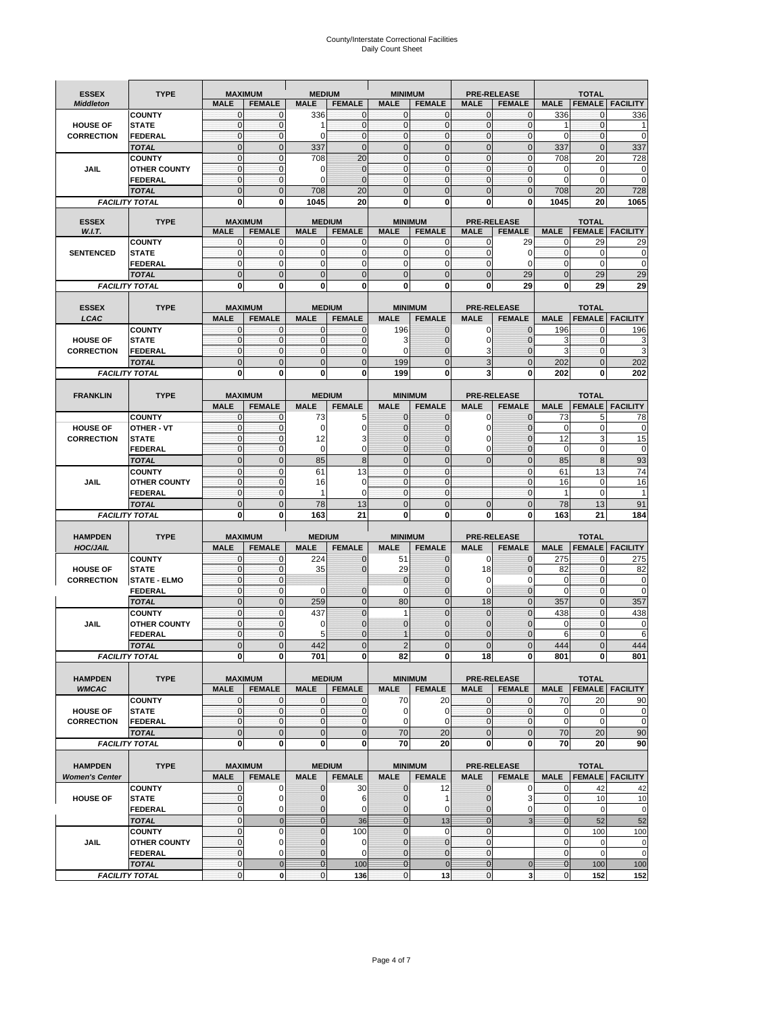# County/Interstate Correctional Facilities Daily Count Sheet

| <b>ESSEX</b>          | <b>TYPE</b>                           |                                | <b>MAXIMUM</b>                  | <b>MEDIUM</b>                 |                                | <b>MINIMUM</b>              |                                 |                                | <b>PRE-RELEASE</b>                  |                                | <b>TOTAL</b>                  |                          |
|-----------------------|---------------------------------------|--------------------------------|---------------------------------|-------------------------------|--------------------------------|-----------------------------|---------------------------------|--------------------------------|-------------------------------------|--------------------------------|-------------------------------|--------------------------|
| <b>Middleton</b>      |                                       | <b>MALE</b>                    | <b>FEMALE</b>                   | <b>MALE</b>                   | <b>FEMALE</b>                  | <b>MALE</b>                 | <b>FEMALE</b>                   | <b>MALE</b>                    | <b>FEMALE</b>                       | <b>MALE</b>                    |                               | <b>FEMALE   FACILITY</b> |
|                       | <b>COUNTY</b>                         | $\mathbf{0}$                   | 0                               | 336                           | 0                              | $\mathbf{0}$                | $\mathbf{0}$                    | $\mathbf 0$                    | $\Omega$                            | 336                            | 0                             | 336                      |
| <b>HOUSE OF</b>       | <b>STATE</b>                          | $\mathbf{0}$                   | $\mathbf 0$                     | 1                             | $\mathbf{0}$                   | $\mathbf{0}$                | $\mathbf{0}$                    | $\mathbf{0}$                   | $\mathbf 0$                         | 1                              | $\mathbf{0}$                  |                          |
| <b>CORRECTION</b>     | <b>FEDERAL</b>                        | $\mathbf{0}$                   | $\mathbf 0$                     | $\Omega$                      | $\mathbf 0$                    | $\Omega$                    | $\mathbf{0}$                    | $\mathbf 0$                    | $\Omega$                            | $\Omega$                       | $\Omega$                      | $\mathbf 0$              |
|                       | <b>TOTAL</b>                          | $\Omega$                       | $\overline{0}$                  | 337                           | $\overline{0}$                 | $\mathbf{0}$                | $\mathbf 0$                     | $\overline{0}$                 | $\Omega$                            | 337                            | $\Omega$                      | 337                      |
|                       | <b>COUNTY</b>                         | $\mathbf{0}$                   | $\mathbf{0}$                    | 708                           | 20                             | $\mathbf{O}$                | $\mathbf{0}$                    | $\mathbf 0$                    | $\mathbf 0$                         | 708                            | 20                            | 728                      |
| <b>JAIL</b>           | <b>OTHER COUNTY</b><br><b>FEDERAL</b> | $\mathbf{0}$<br>$\mathbf{0}$   | $\mathbf 0$<br>$\mathbf{0}$     | $\Omega$<br>0                 | $\mathbf{0}$<br>$\overline{0}$ | $\mathbf 0$<br>$\mathbf{O}$ | $\mathbf{0}$<br>$\mathbf{0}$    | $\mathbf 0$<br>$\mathbf{0}$    | $\mathbf 0$<br>$\mathbf 0$          | 0<br>$\mathbf 0$               | $\mathbf 0$<br>$\mathbf 0$    | 0<br>$\pmb{0}$           |
|                       | <b>TOTAL</b>                          | $\mathbf 0$                    | $\overline{0}$                  | 708                           | 20                             | $\mathbf{0}$                | $\mathbf{0}$                    | $\overline{0}$                 | $\overline{0}$                      | 708                            | 20                            | 728                      |
|                       | <b>FACILITY TOTAL</b>                 | 0                              | 0                               | 1045                          | 20                             | 0                           | 0                               | 0                              | 0                                   | 1045                           | 20                            | 1065                     |
|                       |                                       |                                |                                 |                               |                                |                             |                                 |                                |                                     |                                |                               |                          |
| <b>ESSEX</b>          | <b>TYPE</b>                           |                                | <b>MAXIMUM</b>                  |                               | <b>MEDIUM</b>                  |                             | <b>MINIMUM</b>                  |                                | <b>PRE-RELEASE</b>                  |                                | <b>TOTAL</b>                  |                          |
| W.I.T.                |                                       | <b>MALE</b>                    | <b>FEMALE</b>                   | <b>MALE</b>                   | <b>FEMALE</b>                  | <b>MALE</b>                 | <b>FEMALE</b>                   | <b>MALE</b>                    | <b>FEMALE</b>                       | <b>MALE</b>                    |                               | <b>FEMALE FACILITY</b>   |
|                       | <b>COUNTY</b>                         | 0                              | 0                               | 0                             | 0                              | $\mathbf 0$                 | 0                               | $\bf{0}$                       | 29                                  | $\mathbf 0$                    | 29                            | 29                       |
| <b>SENTENCED</b>      | <b>STATE</b><br><b>FEDERAL</b>        | $\mathbf{0}$<br>$\mathbf{0}$   | $\mathbf 0$<br>$\mathbf 0$      | $\mathbf{O}$<br>$\mathbf{0}$  | $\mathbf 0$<br>$\mathbf 0$     | $\mathbf{O}$<br>$\mathbf 0$ | $\mathbf{0}$<br>$\mathbf{0}$    | $\mathbf{0}$<br>$\mathbf{0}$   | $\Omega$<br>$\Omega$                | $\mathbf 0$<br>$\mathbf 0$     | $\Omega$<br>$\mathbf 0$       | 0<br>$\pmb{0}$           |
|                       | <b>TOTAL</b>                          | $\overline{0}$                 | $\overline{0}$                  | $\overline{0}$                | $\overline{0}$                 | $\mathbf{0}$                | $\mathbf{0}$                    | $\overline{0}$                 | 29                                  | $\mathbf{0}$                   | 29                            | 29                       |
|                       | <b>FACILITY TOTAL</b>                 | 0                              | 0                               | 0                             | O                              | 0                           | 0                               | 0                              | 29                                  | 0                              | 29                            | 29                       |
|                       |                                       |                                |                                 |                               |                                |                             |                                 |                                |                                     |                                |                               |                          |
| <b>ESSEX</b>          | <b>TYPE</b>                           |                                | <b>MAXIMUM</b>                  |                               | <b>MEDIUM</b>                  |                             | <b>MINIMUM</b>                  |                                | <b>PRE-RELEASE</b>                  |                                | <b>TOTAL</b>                  |                          |
| LCAC                  |                                       | <b>MALE</b>                    | <b>FEMALE</b>                   | <b>MALE</b>                   | <b>FEMALE</b>                  | <b>MALE</b>                 | <b>FEMALE</b>                   | <b>MALE</b>                    | <b>FEMALE</b>                       | <b>MALE</b>                    | <b>FEMALE</b>                 | <b>FACILITY</b>          |
|                       | <b>COUNTY</b>                         | $\mathbf 0$                    | $\mathbf 0$                     | $\mathbf{0}$                  | $\mathbf 0$                    | 196                         | $\mathbf{0}$                    | 0                              | $\Omega$                            | 196                            | 0                             | 196                      |
| <b>HOUSE OF</b>       | <b>STATE</b>                          | $\mathbf{0}$                   | $\mathbf 0$                     | $\mathbf{0}$                  | $\mathbf{0}$                   | 3                           | $\mathbf{0}$                    | 0                              | $\Omega$                            | 3                              | $\mathbf 0$                   | 3                        |
| <b>CORRECTION</b>     | FEDERAL                               | $\mathbf{0}$                   | $\mathbf 0$                     | $\mathbf{O}$                  | 0                              | $\mathbf 0$                 | $\mathbf 0$                     | 3                              | $\Omega$                            | 3                              | $\mathbf{0}$                  | 3                        |
|                       | <b>TOTAL</b>                          | $\mathbf 0$                    | $\overline{0}$                  | $\mathbf 0$                   | $\overline{0}$                 | 199                         | $\mathbf{0}$                    | 3                              | $\overline{0}$                      | 202                            | $\mathbf{0}$                  | 202                      |
|                       | <b>FACILITY TOTAL</b>                 | 0                              | 0                               | 0                             | 0                              | 199                         | 0                               | 3                              | $\bf{0}$                            | 202                            | 0                             | 202                      |
|                       |                                       |                                |                                 |                               |                                |                             |                                 |                                |                                     |                                |                               |                          |
| <b>FRANKLIN</b>       | <b>TYPE</b>                           | <b>MALE</b>                    | <b>MAXIMUM</b><br><b>FEMALE</b> | <b>MALE</b>                   | <b>MEDIUM</b><br><b>FEMALE</b> | <b>MALE</b>                 | <b>MINIMUM</b><br><b>FEMALE</b> | <b>MALE</b>                    | <b>PRE-RELEASE</b><br><b>FEMALE</b> | <b>MALE</b>                    | <b>TOTAL</b><br><b>FEMALE</b> | <b>FACILITY</b>          |
|                       | <b>COUNTY</b>                         | $\mathbf{0}$                   | $\mathbf 0$                     | 73                            | 5                              | $\mathbf{0}$                | $\mathbf{0}$                    | 0                              | $\Omega$                            | 73                             | 5                             | 78                       |
| <b>HOUSE OF</b>       | OTHER - VT                            | $\mathbf{0}$                   | $\mathbf 0$                     | $\Omega$                      | $\mathbf 0$                    | $\Omega$                    | $\Omega$                        | $\mathbf 0$                    | $\Omega$                            | $\Omega$                       | $\Omega$                      | $\mathbf 0$              |
| <b>CORRECTION</b>     | <b>STATE</b>                          | $\mathbf{0}$                   | $\mathbf{0}$                    | 12                            | 3                              | $\mathbf{0}$                | $\mathbf 0$                     | $\mathbf 0$                    | $\Omega$                            | 12                             | 3                             | 15                       |
|                       | FEDERAL                               | $\bf 0$                        | $\mathbf 0$                     | 0                             | 0                              | $\Omega$                    | $\Omega$                        | 0                              | $\Omega$                            | $\mathbf 0$                    | 0                             | $\mathbf 0$              |
|                       | <b>TOTAL</b>                          | $\mathbf 0$                    | $\overline{0}$                  | 85                            | 8                              | $\mathbf{0}$                | $\Omega$                        | $\overline{0}$                 | $\overline{0}$                      | 85                             | 8                             | 93                       |
|                       | <b>COUNTY</b>                         | $\mathbf{0}$                   | $\mathbf 0$                     | 61                            | 13                             | $\mathbf{O}$                | $\mathbf{0}$                    |                                | $\mathbf{0}$                        | 61                             | 13                            | 74                       |
| <b>JAIL</b>           | <b>OTHER COUNTY</b>                   | $\mathbf{0}$                   | $\mathbf 0$                     | 16                            | $\Omega$                       | $\mathbf{0}$                | $\mathbf 0$                     |                                | $\Omega$                            | 16                             | $\Omega$                      | 16                       |
|                       | <b>FEDERAL</b>                        | $\mathbf{0}$                   | $\mathbf 0$                     | 1                             | $\Omega$                       | $\mathbf{0}$                | $\mathbf{0}$                    |                                | $\mathbf 0$                         | 1                              | $\Omega$                      |                          |
|                       | <b>TOTAL</b>                          | $\mathbf 0$                    | $\overline{0}$                  | 78                            | 13                             | $\mathbf 0$                 | $\mathbf{0}$                    | $\mathbf{0}$                   | $\overline{0}$                      | 78                             | 13                            | 91                       |
|                       | <b>FACILITY TOTAL</b>                 | 0                              | 0                               | 163                           | 21                             | $\bf{0}$                    | $\mathbf{0}$                    | 0                              | 0                                   | 163                            | 21                            | 184                      |
| <b>HAMPDEN</b>        | <b>TYPE</b>                           |                                | <b>MAXIMUM</b>                  | <b>MEDIUM</b>                 |                                | <b>MINIMUM</b>              |                                 |                                | <b>PRE-RELEASE</b>                  |                                | <b>TOTAL</b>                  |                          |
| <b>HOC/JAIL</b>       |                                       | <b>MALE</b>                    | <b>FEMALE</b>                   | <b>MALE</b>                   | <b>FEMALE</b>                  | <b>MALE</b>                 | <b>FEMALE</b>                   | <b>MALE</b>                    | <b>FEMALE</b>                       | <b>MALE</b>                    | <b>FEMALE</b>                 | <b>FACILITY</b>          |
|                       | <b>COUNTY</b>                         | $\pmb{0}$                      | $\mathbf 0$                     | 224                           | $\mathbf{0}$                   | 51                          | $\mathbf 0$                     | $\mathbf 0$                    | $\Omega$                            | 275                            | $\Omega$                      | 275                      |
| <b>HOUSE OF</b>       | <b>STATE</b>                          | $\mathbf{0}$                   | $\mathbf{0}$                    | 35                            | $\overline{0}$                 | 29                          | $\mathbf{0}$                    | 18                             | $\mathbf 0$                         | 82                             | $\mathbf{0}$                  | 82                       |
| <b>CORRECTION</b>     | <b>STATE - ELMO</b>                   | $\bf 0$                        | $\mathbf 0$                     |                               |                                | $\mathbf 0$                 | $\Omega$                        | 0                              | $\Omega$                            | 0                              | $\mathbf 0$                   | 0                        |
|                       | <b>FEDERAL</b>                        | $\mathbf{0}$                   | $\mathbf{0}$                    | $\mathbf 0$                   | 0                              | $\mathbf 0$                 | $\mathbf{0}$                    | $\mathbf 0$                    | $\overline{0}$                      | $\mathbf 0$                    | $\mathbf{0}$                  | 0                        |
|                       | <b>TOTAL</b>                          | $\mathbf{0}$                   | $\mathbf{0}$                    | 259                           | $\mathbf 0$                    | 80                          | $\mathbf 0$                     | 18                             | $\mathbf{0}$                        | 357                            | $\mathbf{0}$                  | 357                      |
|                       | <b>COUNTY</b>                         | $\mathbf{0}$                   | $\mathbf 0$                     | 437                           | $\overline{0}$                 | $\mathbf{1}$                | $\Omega$                        | $\mathbf{0}$                   | $\overline{0}$                      | 438                            | $\Omega$                      | 438                      |
| JAIL                  | <b>OTHER COUNTY</b>                   | $\mathbf 0$                    | 0                               | 0                             | $\overline{0}$                 | $\mathbf{0}$                | $\Omega$                        | $\mathbf 0$                    | $\Omega$                            | $\Omega$                       | $\Omega$                      | 0                        |
|                       | <b>FEDERAL</b>                        | $\mathbf{0}$<br>$\overline{0}$ | 0<br>$\overline{0}$             | 5<br>442                      | 0<br>$\Omega$                  | $\overline{2}$              | $\Omega$<br>$\Omega$            | $\mathbf{0}$<br>$\overline{0}$ | $\mathcal{C}$<br>$\Omega$           | 6<br>444                       | $\mathbf 0$<br>$\Omega$       | 6<br>444                 |
|                       | <b>TOTAL</b><br><b>FACILITY TOTAL</b> | $\mathbf{0}$                   | 0                               | 701                           | $\mathbf{0}$                   | 82                          | 0                               | 18                             | $\mathbf{0}$                        | 801                            | 0                             | 801                      |
|                       |                                       |                                |                                 |                               |                                |                             |                                 |                                |                                     |                                |                               |                          |
| <b>HAMPDEN</b>        | <b>TYPE</b>                           |                                | <b>MAXIMUM</b>                  |                               | <b>MEDIUM</b>                  |                             | <b>MINIMUM</b>                  |                                | PRE-RELEASE                         |                                | <b>TOTAL</b>                  |                          |
| <b>WMCAC</b>          |                                       | <b>MALE</b>                    | <b>FEMALE</b>                   | <b>MALE</b>                   | <b>FEMALE</b>                  | <b>MALE</b>                 | <b>FEMALE</b>                   | <b>MALE</b>                    | <b>FEMALE</b>                       | <b>MALE</b>                    |                               | <b>FEMALE   FACILITY</b> |
|                       | <b>COUNTY</b>                         | 0                              | 0                               | $\mathbf 0$                   | 0                              | 70                          | 20                              | $\mathbf 0$                    | $\mathbf 0$                         | 70                             | 20                            | 90                       |
| <b>HOUSE OF</b>       | <b>STATE</b>                          | $\mathbf 0$                    | $\mathbf 0$                     | $\mathbf 0$                   | 0                              | 0                           | $\mathbf 0$                     | $\bf 0$                        | $\mathbf 0$                         | $\pmb{0}$                      | 0                             | 0                        |
| <b>CORRECTION</b>     | FEDERAL                               | $\mathbf{0}$                   | $\mathbf{0}$                    | $\mathbf{O}$                  | $\mathbf 0$                    | $\mathbf 0$                 | 0                               | $\mathbf 0$                    | $\mathbf{0}$                        | $\mathbf 0$                    | $\mathbf 0$                   | $\pmb{0}$                |
|                       | <b>TOTAL</b>                          | $\mathbf 0$                    | 0                               | $\mathbf{0}$                  | $\mathbf 0$                    | 70                          | 20                              | $\mathbf{0}$                   | $\mathbf 0$                         | 70                             | 20                            | 90                       |
|                       | <b>FACILITY TOTAL</b>                 | 0                              | $\bf{0}$                        | 0                             | 0                              | 70                          | 20                              | 0                              | $\bf{0}$                            | 70                             | 20                            | 90                       |
|                       |                                       |                                |                                 |                               |                                |                             |                                 |                                |                                     |                                |                               |                          |
| <b>HAMPDEN</b>        | <b>TYPE</b>                           | <b>MALE</b>                    | <b>MAXIMUM</b>                  |                               | <b>MEDIUM</b>                  |                             | <b>MINIMUM</b>                  |                                | PRE-RELEASE                         |                                | <b>TOTAL</b>                  | <b>FEMALE FACILITY</b>   |
| <b>Women's Center</b> | <b>COUNTY</b>                         | 0                              | <b>FEMALE</b><br>0              | <b>MALE</b><br>0              | <b>FEMALE</b><br>30            | <b>MALE</b><br>$\mathbf 0$  | <b>FEMALE</b><br>12             | <b>MALE</b><br>$\mathbf{0}$    | <b>FEMALE</b><br>0                  | <b>MALE</b><br>0               | 42                            |                          |
| <b>HOUSE OF</b>       | <b>STATE</b>                          | $\mathbf 0$                    | $\mathbf 0$                     | $\mathbf{0}$                  | 6                              | $\mathbf{0}$                | 1                               | $\mathbf{0}$                   | 3                                   | $\mathbf 0$                    | 10                            | 42<br>10                 |
|                       | <b>FEDERAL</b>                        | $\mathbf 0$                    | 0                               | $\mathbf{0}$                  | 0                              | $\mathbf 0$                 | 0                               | $\mathbf{0}$                   | 0                                   | $\overline{0}$                 | $\mathbf 0$                   | $\mathbf 0$              |
|                       | <b>TOTAL</b>                          | $\pmb{0}$                      | $\mathbf 0$                     | $\overline{0}$                | 36                             | $\overline{0}$              | 13                              | $\mathbf{0}$                   | 3                                   | $\overline{0}$                 | 52                            | 52                       |
|                       | <b>COUNTY</b>                         | $\pmb{0}$                      | $\mathbf 0$                     | $\mathbf 0$                   | 100                            | $\mathbf 0$                 | $\mathbf 0$                     | $\mathbf{0}$                   |                                     | $\mathbf 0$                    | 100                           | 100                      |
| JAIL                  | <b>OTHER COUNTY</b>                   | $\mathbf 0$                    | $\mathbf 0$                     | $\mathbf{0}$                  | $\mathbf 0$                    | $\mathbf{0}$                | $\mathbf{0}$                    | $\mathbf{0}$                   |                                     | $\mathbf{0}$                   | $\mathbf 0$                   | 0                        |
|                       |                                       |                                |                                 |                               |                                |                             |                                 |                                |                                     |                                |                               |                          |
|                       | <b>FEDERAL</b>                        | $\pmb{0}$                      | 0                               | 0                             | 0                              | $\mathbf 0$                 | $\mathbf{0}$                    | $\mathbf{0}$                   |                                     | $\mathbf 0$                    | $\mathbf 0$                   | $\mathbf 0$              |
|                       | <b>TOTAL</b><br><b>FACILITY TOTAL</b> | $\mathbf 0$<br>$\pmb{0}$       | $\mathbf{0}$<br>$\pmb{0}$       | $\overline{0}$<br>$\mathbf 0$ | 100<br>136                     | $\mathbf{0}$<br>$\mathbf 0$ | $\mathbf 0$<br>13               | $\bf{0}$<br>0                  | $\pmb{0}$<br>$\mathbf{3}$           | $\mathbf{O}$<br>$\overline{0}$ | 100<br>152                    | 100<br>152               |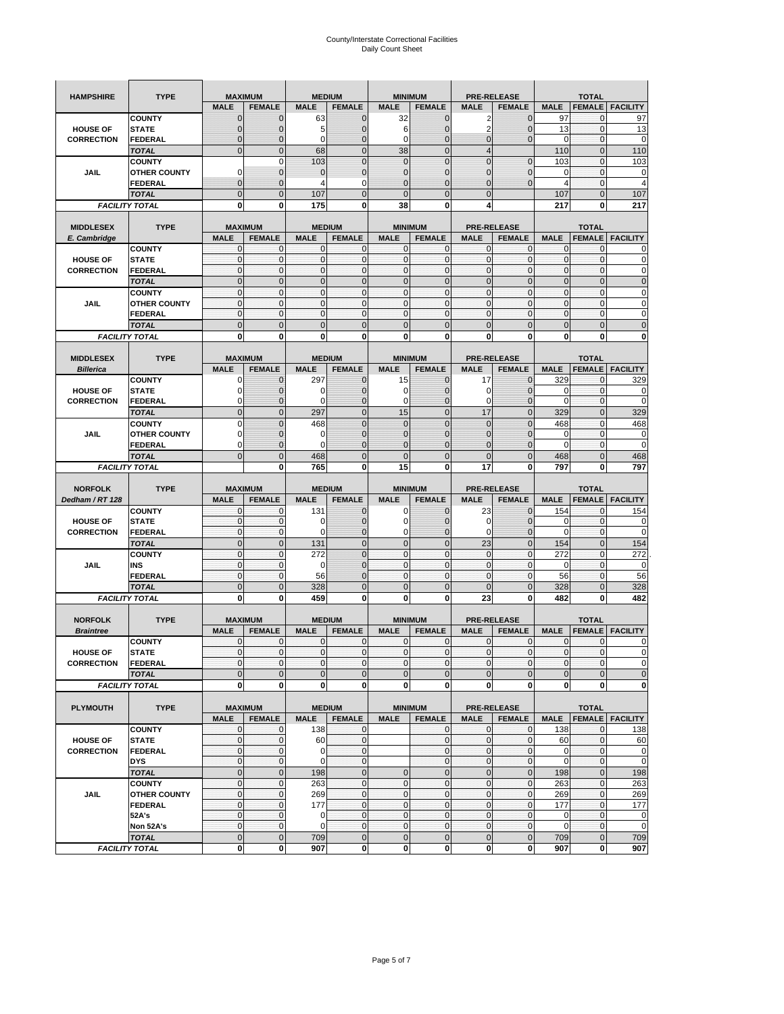| <b>HAMPSHIRE</b>                     | <b>TYPE</b>                           | <b>MAXIMUM</b>              |                             |                         | <b>MEDIUM</b>                |                            | <b>MINIMUM</b>                 |                        | <b>PRE-RELEASE</b>             |                   | <b>TOTAL</b>                |                            |
|--------------------------------------|---------------------------------------|-----------------------------|-----------------------------|-------------------------|------------------------------|----------------------------|--------------------------------|------------------------|--------------------------------|-------------------|-----------------------------|----------------------------|
|                                      |                                       | <b>MALE</b>                 | <b>FEMALE</b>               | <b>MALE</b>             | <b>FEMALE</b>                | <b>MALE</b>                | <b>FEMALE</b>                  | <b>MALE</b>            | <b>FEMALE</b>                  | <b>MALE</b>       | <b>FEMALE</b>               | <b>FACILITY</b>            |
|                                      | <b>COUNTY</b>                         | $\Omega$                    | $\mathbf 0$                 | 63                      | $\mathbf 0$                  | 32                         | $\mathbf 0$                    | 2                      | $\mathbf 0$                    | 97                | $\mathbf{0}$                | 97                         |
| <b>HOUSE OF</b>                      | <b>STATE</b>                          |                             | $\mathbf{0}$                | 5                       | $\mathbf{0}$                 | 6                          | $\overline{0}$                 | 2                      | $\overline{0}$                 | 13                | $\mathbf 0$                 | 13                         |
| <b>CORRECTION</b>                    | <b>FEDERAL</b>                        | $\mathbf 0$                 | 0                           | 0                       | $\mathbf{0}$                 | 0                          | $\mathbf{0}$                   | 0                      | $\overline{0}$                 | $\mathbf 0$       | $\mathbf 0$                 | 0                          |
|                                      | <b>TOTAL</b>                          | $\mathbf{0}$                | $\mathbf{0}$                | 68                      | $\mathbf{0}$                 | 38                         | $\mathbf{0}$                   | $\overline{4}$         |                                | 110               | $\mathbf{0}$                | 110                        |
|                                      | <b>COUNTY</b>                         |                             | $\mathbf 0$                 | 103                     | $\mathbf{0}$                 | $\overline{0}$             | $\overline{0}$                 | $\overline{0}$         | $\overline{0}$                 | 103               | $\mathbf 0$                 | 103                        |
| <b>JAIL</b>                          | <b>OTHER COUNTY</b>                   | $\Omega$                    | $\mathbf{0}$                | $\Omega$                | $\mathbf 0$                  | $\mathbf{0}$               | $\mathbf{0}$                   | 0                      | $\overline{0}$                 | 0                 | 0                           | 0                          |
|                                      | <b>FEDERAL</b>                        | $\mathbf{0}$                | $\mathbf 0$                 | 4                       | $\mathbf 0$                  | $\overline{0}$             | $\mathbf{0}$                   | $\overline{0}$         | $\overline{0}$                 | $\overline{4}$    | $\mathbf{0}$                | $\overline{4}$             |
|                                      | <b>TOTAL</b>                          | $\mathbf{0}$                | $\mathbf 0$                 | 107                     | $\mathbf 0$                  | $\overline{0}$             | $\mathbf{0}$                   | $\mathbf 0$            |                                | 107               | $\mathbf 0$                 | 107                        |
|                                      | <b>FACILITY TOTAL</b>                 | 0                           | 0                           | 175                     | 0                            | 38                         | 0                              | 4                      |                                | 217               | 0                           | 217                        |
|                                      |                                       |                             |                             |                         |                              |                            |                                |                        |                                |                   |                             |                            |
| <b>MIDDLESEX</b>                     | <b>TYPE</b>                           | <b>MAXIMUM</b>              |                             | <b>MEDIUM</b>           |                              |                            | <b>MINIMUM</b>                 |                        | <b>PRE-RELEASE</b>             |                   | <b>TOTAL</b>                |                            |
| E. Cambridge                         |                                       | <b>MALE</b><br>$\mathbf{0}$ | <b>FEMALE</b>               | <b>MALE</b><br>$\Omega$ | <b>FEMALE</b><br>$\mathbf 0$ | <b>MALE</b>                | <b>FEMALE</b><br>$\mathbf{0}$  | <b>MALE</b>            | <b>FEMALE</b>                  | <b>MALE</b>       | <b>FEMALE</b>               | <b>FACILITY</b>            |
| <b>HOUSE OF</b>                      | <b>COUNTY</b><br><b>STATE</b>         | $\pmb{0}$                   | 0<br>$\mathbf{0}$           | $\mathbf 0$             | $\mathbf 0$                  | 0<br>$\mathbf 0$           | $\mathbf{0}$                   | 0<br>0                 | 0<br>$\mathbf 0$               | 0<br>$\pmb{0}$    | 0<br>$\mathbf 0$            | 0<br>0                     |
| <b>CORRECTION</b>                    | <b>FEDERAL</b>                        | $\mathbf{0}$                | $\mathbf 0$                 | $\mathbf 0$             | $\mathbf 0$                  | $\mathbf{0}$               | $\mathbf{0}$                   | $\mathbf 0$            | $\mathbf 0$                    | $\mathbf{0}$      | $\mathbf 0$                 | $\mathbf 0$                |
|                                      | <b>TOTAL</b>                          | $\mathbf{0}$                | $\mathbf 0$                 | $\overline{0}$          | $\mathbf{0}$                 | $\mathbf 0$                | $\mathbf{0}$                   | $\mathbf{0}$           | $\mathbf 0$                    | $\pmb{0}$         | $\mathbf{0}$                | $\mathbf 0$                |
|                                      | <b>COUNTY</b>                         | $\mathbf{0}$                | $\mathbf{0}$                | $\mathbf 0$             | $\mathbf{0}$                 | $\mathbf{0}$               | $\mathbf{0}$                   | $\mathbf 0$            | $\mathbf 0$                    | $\mathbf{0}$      | $\mathbf{0}$                | 0                          |
| JAIL                                 | <b>OTHER COUNTY</b>                   | $\mathbf 0$                 | $\mathbf{0}$                | $\mathbf 0$             | 0                            | $\mathbf{0}$               | $\mathbf{0}$                   | $\mathbf{0}$           | 0                              | $\pmb{0}$         | 0                           | 0                          |
|                                      | <b>FEDERAL</b>                        | $\mathbf{0}$                | $\mathbf 0$                 | $\mathbf 0$             | $\mathbf{0}$                 | 0                          | $\mathbf 0$                    | $\mathbf{0}$           | $\mathbf 0$                    | $\mathbf{0}$      | $\mathbf{0}$                | 0                          |
|                                      | <b>TOTAL</b>                          | $\overline{0}$              | $\overline{0}$              | $\overline{0}$          | $\mathbf{0}$                 | $\overline{0}$             | $\mathbf 0$                    | $\overline{0}$         | $\overline{0}$                 | $\pmb{0}$         | $\overline{0}$              | $\overline{0}$             |
|                                      | <b>FACILITY TOTAL</b>                 | 0                           | 0                           | $\bf{0}$                | 0                            | 0                          | 0                              | 0                      | 0                              | 0                 | 0                           | 0                          |
|                                      |                                       |                             |                             |                         |                              |                            |                                |                        |                                |                   |                             |                            |
| <b>MIDDLESEX</b>                     | <b>TYPE</b>                           | <b>MAXIMUM</b>              |                             |                         | <b>MEDIUM</b>                |                            | <b>MINIMUM</b>                 |                        | <b>PRE-RELEASE</b>             |                   | <b>TOTAL</b>                |                            |
| <b>Billerica</b>                     |                                       | <b>MALE</b>                 | <b>FEMALE</b>               | <b>MALE</b>             | <b>FEMALE</b>                | <b>MALE</b>                | <b>FEMALE</b>                  | <b>MALE</b>            | <b>FEMALE</b>                  | <b>MALE</b>       | <b>FEMALE</b>               | <b>FACILITY</b>            |
|                                      | <b>COUNTY</b>                         | 0                           | 0                           | 297                     | 0                            | 15                         | 0                              | 17                     | $\mathbf{0}$                   | 329               | 0                           | 329                        |
| <b>HOUSE OF</b>                      | <b>STATE</b>                          | O                           | $\overline{0}$              | O                       | $\mathbf 0$                  | 0                          | $\mathbf{0}$                   | 0                      | $\overline{0}$                 | 0                 | $\mathbf 0$                 | 0                          |
| <b>CORRECTION</b>                    | <b>FEDERAL</b>                        | $\Omega$                    | 0                           | $\epsilon$              | $\mathbf 0$                  | 0                          | $\mathbf{0}$                   | 0                      | $\mathbf 0$                    | 0                 | $\mathbf 0$                 | 0                          |
|                                      | <b>TOTAL</b>                          | $\mathbf{0}$                | $\mathbf 0$                 | 297                     | $\mathbf 0$                  | 15                         | $\mathbf{0}$                   | 17                     | $\overline{0}$                 | 329               | $\mathbf{0}$                | 329                        |
|                                      | <b>COUNTY</b>                         | $\Omega$                    | $\mathbf 0$                 | 468                     | $\mathbf{0}$                 | $\overline{0}$             | $\Omega$                       | $\overline{0}$         | $\Omega$                       | 468               | $\mathbf{0}$                | 468                        |
| JAIL                                 | <b>OTHER COUNTY</b>                   | 0                           | $\mathbf{0}$                | 0                       | $\mathbf{0}$                 | $\mathbf{0}$               | $\mathbf{0}$                   | 0                      | $\overline{0}$                 | 0                 | 0                           | 0                          |
|                                      | <b>FEDERAL</b>                        | 0                           | $\mathbf{0}$                | $\epsilon$              | $\mathbf{0}$                 | $\overline{0}$             | $\mathbf{0}$                   | 0                      | $\overline{0}$                 | $\Omega$          | $\mathbf 0$                 | 0                          |
|                                      | <b>TOTAL</b>                          | $\Omega$                    | $\overline{0}$              | 468<br>765              | $\mathbf 0$<br>0             | $\overline{0}$<br>15       | $\mathbf 0$<br>0               | $\overline{0}$<br>17   | $\overline{0}$                 | 468               | $\overline{0}$<br>0         | 468<br>797                 |
|                                      | <b>FACILITY TOTAL</b>                 |                             | 0                           |                         |                              |                            |                                |                        | 0                              | 797               |                             |                            |
|                                      |                                       |                             |                             |                         |                              |                            |                                |                        |                                |                   |                             |                            |
|                                      |                                       |                             |                             |                         |                              |                            |                                |                        |                                |                   |                             |                            |
| <b>NORFOLK</b>                       | <b>TYPE</b>                           | <b>MAXIMUM</b>              |                             |                         | <b>MEDIUM</b>                |                            | <b>MINIMUM</b>                 |                        | <b>PRE-RELEASE</b>             |                   | <b>TOTAL</b>                |                            |
| Dedham / RT 128                      |                                       | <b>MALE</b>                 | <b>FEMALE</b>               | <b>MALE</b>             | <b>FEMALE</b>                | <b>MALE</b><br>0           | <b>FEMALE</b>                  | <b>MALE</b>            | <b>FEMALE</b>                  | <b>MALE</b>       | <b>FEMALE</b>               | <b>FACILITY</b>            |
| <b>HOUSE OF</b>                      | <b>COUNTY</b><br><b>STATE</b>         | 0<br>$\mathbf{0}$           | $\mathbf{0}$<br>$\mathbf 0$ | 131<br>ſ                | 0<br>$\mathbf{0}$            | $\mathbf 0$                | 0<br>$\mathbf{0}$              | 23<br>0                | $\mathbf{0}$<br>$\overline{0}$ | 154<br>0          | 0<br>$\mathbf{0}$           | 154<br>0                   |
| <b>CORRECTION</b>                    | <b>FEDERAL</b>                        | $\mathbf{0}$                | $\mathbf 0$                 | $\mathcal{C}$           | $\mathbf{0}$                 | 0                          | $\overline{0}$                 | $\mathbf 0$            | $\mathbf 0$                    | $\mathbf 0$       | $\mathbf{0}$                | 0                          |
|                                      | <b>TOTAL</b>                          | $\mathbf{0}$                | $\bf 0$                     | 131                     | $\pmb{0}$                    | $\mathbf 0$                | $\mathbf 0$                    | 23                     | $\mathbf 0$                    | 154               | $\mathbf 0$                 | 154                        |
|                                      | <b>COUNTY</b>                         | $\mathbf{0}$                | 0                           | 272                     | $\mathbf{0}$                 | $\mathbf 0$                | $\mathbf{0}$                   | $\mathbf{0}$           | $\mathbf 0$                    | 272               | $\mathbf 0$                 | 272                        |
| JAIL                                 | INS                                   | $\mathbf{0}$                | 0                           | 0                       | $\mathbf{0}$                 | $\mathbf 0$                | $\mathbf{0}$                   | $\mathbf{0}$           | $\mathbf 0$                    | 0                 | 0                           | 0                          |
|                                      | FEDERAL                               | $\mathbf{0}$                | $\mathbf{0}$                | 56                      | $\Omega$                     | $\mathbf 0$                | $\mathbf{0}$                   | $\mathbf{0}$           | $\mathbf 0$                    | 56                | $\mathbf 0$                 | 56                         |
|                                      | <b>TOTAL</b>                          | $\mathbf{0}$                | $\mathbf 0$                 | 328                     | $\mathbf{0}$                 | $\overline{0}$             | $\overline{0}$                 | $\overline{0}$         | $\overline{0}$                 | 328               | $\overline{0}$              | 328                        |
|                                      | <b>FACILITY TOTAL</b>                 | 0                           | 0                           | 459                     | 0                            | 0                          | $\bf{0}$                       | 23                     | 0                              | 482               | 0                           | 482                        |
|                                      |                                       |                             |                             |                         |                              |                            |                                |                        |                                |                   |                             |                            |
| <b>NORFOLK</b>                       | <b>TYPE</b>                           | <b>MAXIMUM</b>              |                             | <b>MEDIUM</b>           |                              |                            | <b>MINIMUM</b>                 |                        | <b>PRE-RELEASE</b>             |                   | <b>TOTAL</b>                |                            |
| <b>Braintree</b>                     |                                       | <b>MALE</b>                 | <b>FEMALE</b>               | <b>MALE</b>             | <b>FEMALE</b>                | <b>MALE</b>                | <b>FEMALE</b>                  | <b>MALE</b>            | <b>FEMALE</b>                  | <b>MALE</b>       | <b>FEMALE</b>               | <b>FACILITY</b>            |
|                                      | <b>COUNTY</b>                         | $\mathbf 0$                 | $\mathbf{0}$                | $\mathbf 0$             | $\mathbf 0$                  | $\mathbf 0$                | $\mathbf{0}$                   | 0                      | $\mathbf 0$                    | $\mathbf 0$       | 0                           | 0                          |
| <b>HOUSE OF</b>                      | <b>STATE</b>                          | $\Omega$                    | $\Omega$                    | $\Omega$                | $\overline{0}$               | $\Omega$                   | $\Omega$                       | $\mathbf{0}$           | $\Omega$                       | $\Omega$          | $\Omega$                    | $\Omega$                   |
| <b>CORRECTION</b>                    | <b>FEDERAL</b>                        | $\mathbf 0$                 | $\mathbf 0$                 | $\mathbf 0$             | $\mathbf 0$                  | $\mathbf 0$                | $\overline{0}$                 | $\pmb{0}$              | $\mathbf 0$                    | $\overline{0}$    | $\mathbf 0$                 | $\mathbf 0$                |
|                                      | <b>TOTAL</b>                          | $\mathbf 0$                 | $\mathbf 0$                 | $\overline{0}$          | $\pmb{0}$                    | $\overline{0}$             | $\mathbf 0$                    | $\mathbf 0$            | $\mathbf 0$                    | $\mathbf 0$       | $\mathbf 0$                 | $\mathbf 0$                |
|                                      | <b>FACILITY TOTAL</b>                 | $\mathbf 0$                 | $\bf{0}$                    | $\mathbf 0$             | $\mathbf 0$                  | $\mathbf{0}$               | <sup>0</sup>                   | 0                      | 0                              | $\mathbf{0}$      | $\mathbf 0$                 | $\mathbf{0}$               |
|                                      |                                       |                             |                             |                         |                              |                            |                                |                        |                                |                   |                             |                            |
| <b>PLYMOUTH</b>                      | <b>TYPE</b>                           |                             | <b>MAXIMUM</b>              |                         | <b>MEDIUM</b>                |                            | <b>MINIMUM</b>                 |                        | <b>PRE-RELEASE</b>             |                   | <b>TOTAL</b>                |                            |
|                                      |                                       | <b>MALE</b>                 | <b>FEMALE</b>               | <b>MALE</b>             | <b>FEMALE</b>                | <b>MALE</b>                | <b>FEMALE</b>                  | <b>MALE</b>            | <b>FEMALE</b>                  | <b>MALE</b>       |                             | <b>FEMALE   FACILITY</b>   |
|                                      | <b>COUNTY</b>                         | $\mathbf 0$<br>$\mathbf{0}$ | $\mathbf 0$                 | 138                     | 0                            |                            | $\mathbf{0}$<br>$\overline{0}$ | $\mathbf 0$            | $\mathbf 0$                    | 138               | $\mathbf 0$                 | 138                        |
| <b>HOUSE OF</b><br><b>CORRECTION</b> | <b>STATE</b><br><b>FEDERAL</b>        | $\mathbf 0$                 | $\mathbf 0$<br>$\pmb{0}$    | 60<br>0                 | $\mathbf 0$<br>$\mathbf 0$   |                            | $\overline{0}$                 | $\pmb{0}$<br>$\pmb{0}$ | 0<br>$\mathbf 0$               | 60<br>$\mathbf 0$ | $\mathbf 0$<br>$\mathbf 0$  | 60                         |
|                                      | <b>DYS</b>                            | $\mathbf{0}$                | $\mathbf 0$                 | $\mathbf 0$             | $\mathbf{0}$                 |                            | $\overline{0}$                 | $\mathbf 0$            | $\mathbf{0}$                   | $\mathbf 0$       | $\Omega$                    | $\mathbf 0$<br>$\mathbf 0$ |
|                                      | <b>TOTAL</b>                          | $\mathbf 0$                 | $\mathbf 0$                 | 198                     | $\mathbf 0$                  | $\mathbf 0$                | $\mathbf 0$                    | $\mathbf 0$            | $\mathbf 0$                    | 198               | $\mathbf 0$                 | 198                        |
|                                      | <b>COUNTY</b>                         | $\mathbf 0$                 | $\mathbf 0$                 | 263                     | $\mathbf{0}$                 | $\mathbf{0}$               | $\mathbf{0}$                   | $\mathbf{0}$           | $\mathbf 0$                    | 263               | $\mathbf 0$                 | 263                        |
| <b>JAIL</b>                          | <b>OTHER COUNTY</b>                   | $\mathbf{0}$                | $\mathbf 0$                 | 269                     | $\mathbf 0$                  | $\mathbf{0}$               | $\mathbf{0}$                   | $\mathbf 0$            | $\mathbf 0$                    | 269               | $\mathbf 0$                 | 269                        |
|                                      | <b>FEDERAL</b>                        | $\mathbf 0$                 | $\mathbf 0$                 | 177                     | $\mathbf 0$                  | $\mathbf 0$                | $\overline{0}$                 | $\mathbf 0$            | 0                              | 177               | $\mathbf 0$                 | 177                        |
|                                      | 52A's                                 | $\mathbf 0$                 | $\mathbf 0$                 | $\mathbf 0$             | $\mathbf 0$                  | $\mathbf 0$                | $\overline{0}$                 | $\mathbf 0$            | $\mathbf 0$                    | $\mathbf 0$       | $\mathbf 0$                 | $\mathbf 0$                |
|                                      | Non 52A's                             | $\mathbf 0$                 | $\mathbf 0$                 | $\mathbf 0$             | $\mathbf 0$                  | $\mathbf 0$                | $\overline{0}$                 | $\mathbf 0$            | $\mathbf 0$                    | $\mathbf 0$       | $\mathbf{0}$                | $\mathbf 0$                |
|                                      | <b>TOTAL</b><br><b>FACILITY TOTAL</b> | $\mathbf 0$<br>$\mathbf 0$  | $\mathbf 0$<br>0            | 709<br>907              | $\mathbf 0$<br>$\mathbf{0}$  | $\mathbf 0$<br>$\mathbf 0$ | $\mathbf{0}$<br>$\mathbf{0}$   | $\mathbf 0$<br>0       | $\mathbf 0$<br>$\mathbf{0}$    | 709<br>907        | $\mathbf 0$<br>$\mathbf{0}$ | 709<br>907                 |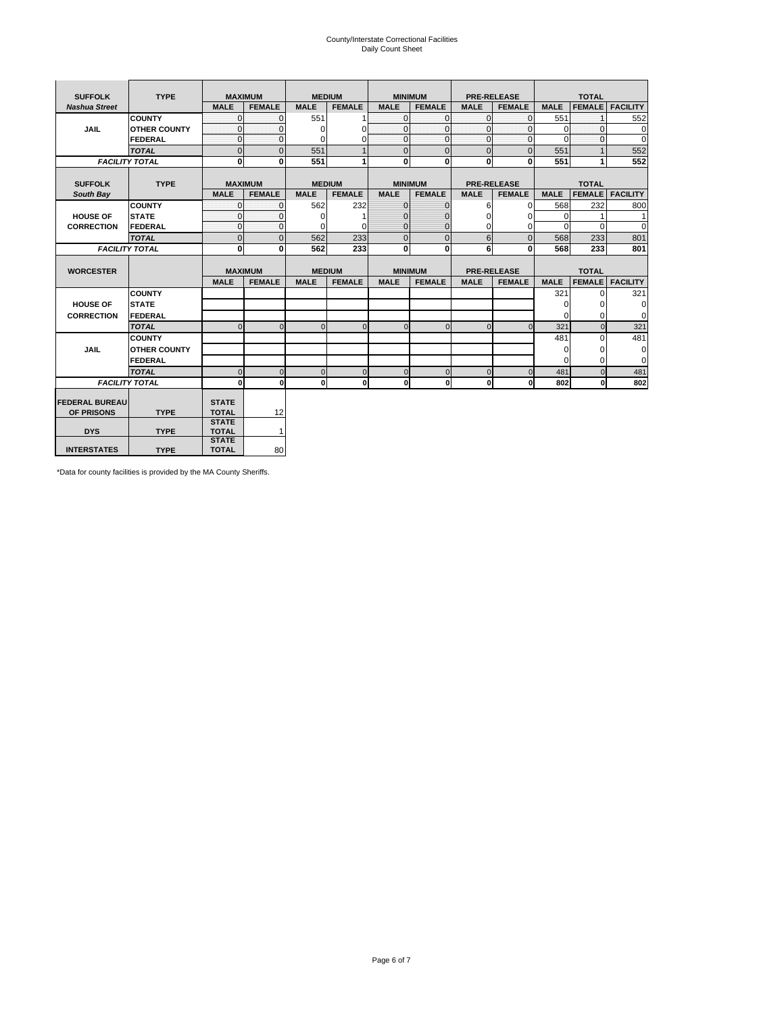# County/Interstate Correctional Facilities Daily Count Sheet

| <b>SUFFOLK</b>        | <b>TYPE</b>           | <b>MAXIMUM</b>               |                |               | <b>MEDIUM</b> |              | <b>MINIMUM</b> |                | <b>PRE-RELEASE</b> |             | <b>TOTAL</b>  |                 |
|-----------------------|-----------------------|------------------------------|----------------|---------------|---------------|--------------|----------------|----------------|--------------------|-------------|---------------|-----------------|
| <b>Nashua Street</b>  |                       | <b>MALE</b>                  | <b>FEMALE</b>  | <b>MALE</b>   | <b>FEMALE</b> | <b>MALE</b>  | <b>FEMALE</b>  | <b>MALE</b>    | <b>FEMALE</b>      | <b>MALE</b> | <b>FEMALE</b> | <b>FACILITY</b> |
|                       | <b>COUNTY</b>         | $\Omega$                     | $\Omega$       | 551           |               | $\mathbf{O}$ | $\Omega$       | $\Omega$       | $\Omega$           | 551         | 1             | 552             |
| <b>JAIL</b>           | <b>OTHER COUNTY</b>   | $\Omega$                     | $\Omega$       | $\Omega$      | $\Omega$      | $\mathbf{0}$ | $\Omega$       | $\mathbf{0}$   | $\Omega$           | $\mathbf 0$ | $\Omega$      | $\mathbf 0$     |
|                       | <b>FEDERAL</b>        | $\Omega$                     | $\Omega$       | $\Omega$      | 0             | $\mathbf 0$  | $\Omega$       | $\Omega$       | $\Omega$           | $\Omega$    | $\Omega$      | $\Omega$        |
|                       | <b>TOTAL</b>          | $\overline{0}$               | $\overline{0}$ | 551           |               | $\mathbf{0}$ | $\overline{0}$ | $\overline{0}$ | $\Omega$           | 551         |               | 552             |
|                       | <b>FACILITY TOTAL</b> | 0                            | 0              | 551           |               | $\mathbf{0}$ | 0              | $\bf{0}$       | 0                  | 551         | 1             | 552             |
|                       |                       |                              |                |               |               |              |                |                |                    |             |               |                 |
| <b>SUFFOLK</b>        | <b>TYPE</b>           | <b>MAXIMUM</b>               |                | <b>MEDIUM</b> |               |              | <b>MINIMUM</b> |                | <b>PRE-RELEASE</b> |             | <b>TOTAL</b>  |                 |
| South Bay             |                       | <b>MALE</b>                  | <b>FEMALE</b>  | <b>MALE</b>   | <b>FEMALE</b> | <b>MALE</b>  | <b>FEMALE</b>  | <b>MALE</b>    | <b>FEMALE</b>      | <b>MALE</b> | <b>FEMALE</b> | <b>FACILITY</b> |
|                       | <b>COUNTY</b>         | $\Omega$                     | $\mathbf{0}$   | 562           | 232           | $\mathbf{0}$ | $\mathbf{0}$   | 6              | $\Omega$           | 568         | 232           | 800             |
| <b>HOUSE OF</b>       | <b>STATE</b>          | $\Omega$                     | $\Omega$       | $\Omega$      |               | $\mathbf{0}$ | 0              | $\Omega$       | $\Omega$           | $\Omega$    |               | 1               |
| <b>CORRECTION</b>     | FEDERAL               | 0                            | $\Omega$       | $\Omega$      | $\Omega$      | $\mathbf{0}$ | $\mathbf{0}$   | $\Omega$       | 0                  | $\Omega$    | $\Omega$      | $\Omega$        |
|                       | <b>TOTAL</b>          | $\overline{0}$               | $\overline{0}$ | 562           | 233           | $\mathbf{0}$ | $\overline{0}$ | 6              | $\Omega$           | 568         | 233           | 801             |
|                       | <b>FACILITY TOTAL</b> | 0                            | 0              | 562           | 233           | $\mathbf{0}$ | 0              | 6              | 0                  | 568         | 233           | 801             |
|                       |                       |                              |                |               |               |              |                |                |                    |             |               |                 |
| <b>WORCESTER</b>      |                       | <b>MAXIMUM</b>               |                | <b>MEDIUM</b> |               |              | <b>MINIMUM</b> |                | <b>PRE-RELEASE</b> |             | <b>TOTAL</b>  |                 |
|                       |                       | <b>MALE</b>                  | <b>FEMALE</b>  | <b>MALE</b>   | <b>FEMALE</b> | <b>MALE</b>  | <b>FEMALE</b>  | <b>MALE</b>    | <b>FEMALE</b>      | <b>MALE</b> | <b>FEMALE</b> | <b>FACILITY</b> |
|                       | <b>COUNTY</b>         |                              |                |               |               |              |                |                |                    | 321         | $\Omega$      | 321             |
| <b>HOUSE OF</b>       | <b>STATE</b>          |                              |                |               |               |              |                |                |                    | 0           | 0             | 0               |
| <b>CORRECTION</b>     | FEDERAL               |                              |                |               |               |              |                |                |                    | $\Omega$    | $\Omega$      | $\mathbf 0$     |
|                       | <b>TOTAL</b>          | $\Omega$                     | $\Omega$       | $\Omega$      | $\mathbf 0$   | $\mathbf{0}$ | $\Omega$       | $\Omega$       | $\Omega$           | 321         | $\Omega$      | 321             |
|                       | <b>COUNTY</b>         |                              |                |               |               |              |                |                |                    | 481         | $\Omega$      | 481             |
| <b>JAIL</b>           | <b>OTHER COUNTY</b>   |                              |                |               |               |              |                |                |                    | $\mathbf 0$ | 0             | 0               |
|                       | FEDERAL               |                              |                |               |               |              |                |                |                    | $\Omega$    | $\Omega$      | $\mathbf 0$     |
|                       | <b>TOTAL</b>          | $\Omega$                     | $\Omega$       | $\Omega$      | $\mathbf 0$   | $\mathbf{0}$ | $\Omega$       | $\Omega$       | $\Omega$           | 481         | $\Omega$      | 481             |
|                       | <b>FACILITY TOTAL</b> | $\bf{0}$                     | $\mathbf 0$    | $\Omega$      | 0             | $\mathbf{0}$ | $\mathbf{0}$   | $\mathbf 0$    | n                  | 802         | 0             | 802             |
|                       |                       |                              |                |               |               |              |                |                |                    |             |               |                 |
| <b>FEDERAL BUREAU</b> |                       | <b>STATE</b>                 |                |               |               |              |                |                |                    |             |               |                 |
| OF PRISONS            | <b>TYPE</b>           | <b>TOTAL</b>                 | 12             |               |               |              |                |                |                    |             |               |                 |
|                       |                       | <b>STATE</b>                 |                |               |               |              |                |                |                    |             |               |                 |
| <b>DYS</b>            | <b>TYPE</b>           | <b>TOTAL</b><br><b>STATE</b> | 1              |               |               |              |                |                |                    |             |               |                 |
| <b>INTERSTATES</b>    | <b>TYPE</b>           | <b>TOTAL</b>                 | 80             |               |               |              |                |                |                    |             |               |                 |

\*Data for county facilities is provided by the MA County Sheriffs.